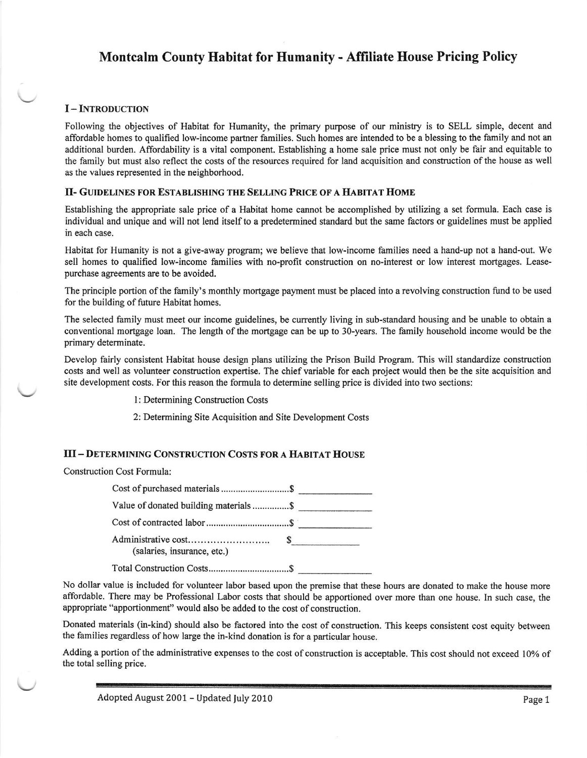# Montcalm County Habitat for Humanity - Affiliate House Pricing Policy

### I-INTRODUCTION

Following the objectives of Habitat for Humanity, the primary purpose of our ministry is to SELL simple, decent and affordable homes to qualified low-income partner families. Such homes are intended to be a blessing to the family and not an additional burden. Affordability is a vital component. Establishing a home sale price must not only be fair and equitable to the family but must also reflect the costs of tie resources required for land acquisition and construction of the house as well as the values represented in the neighborhood.

#### II- GUIDELINES FOR ESTABLISHING THE SELLING PRICE OF A HABITAT HOME

Establishing the appropriate sale price of a Habitat home cannot be accomplished by utilizing a set formula. Each case is individual and unique and will not lend itself to a predetermined standard but the same factors or guidelines must be applied in each case.

Habitat for Humanity is not a give-away program; we believe that low-income families need a hand-up not a hand-out. We sell homes to qualified low-income families with no-profit construction on no-interest or low interest mortgages. Leasepurchase agreements are to be avoided.

The principle portion ofthe family's monthly mortgage payment must be placed into a revolving construction fund to be used for the building of future Habitat homes.

The selected family must meet our income guidelines, be currently living in sub-standard housing and be unable to obtain a conventional mortgage loan. The length of the mortgage can be up to 30-years. The family household income would be the primary determinate.

Develop fairly consistent Habitat house design plans utilizing the Prison Build Program. This will standardize construction costs and well as volunteer construction expertise. The chief variable for each project would then be the site acquisition and site development costs. For this reason the formula to determine selling price is divided into two sections:

l: Determining Construction Costs

2: Determining Site Acquisition and Site Development Costs

### III - DETERMINING CONSTRUCTION COSTS FOR A HABITAT HOUSE

#### Construction Cost Formula:

| Value of donated building materials \$ |  |
|----------------------------------------|--|
|                                        |  |
| (salaries, insurance, etc.)            |  |
|                                        |  |

No dollar value is included for volunteer labor based upon the premise that these hours are donated to make the house more affordable. There may be Professional Labor costs that sbould be apportioned over more than one house. In such case, the appropriate "apportionmenf' would also be added to the cost of construction.

Donated materials (in-kind) should also be factored into the cost of construction. This keeps consistent cost equity between the families regardless of how large the in-kind donation is for a particular house.

Adding a portion of the administrative expenses to the cost of construction is acceptable. This cost should not exceed 10% of the total selling price.